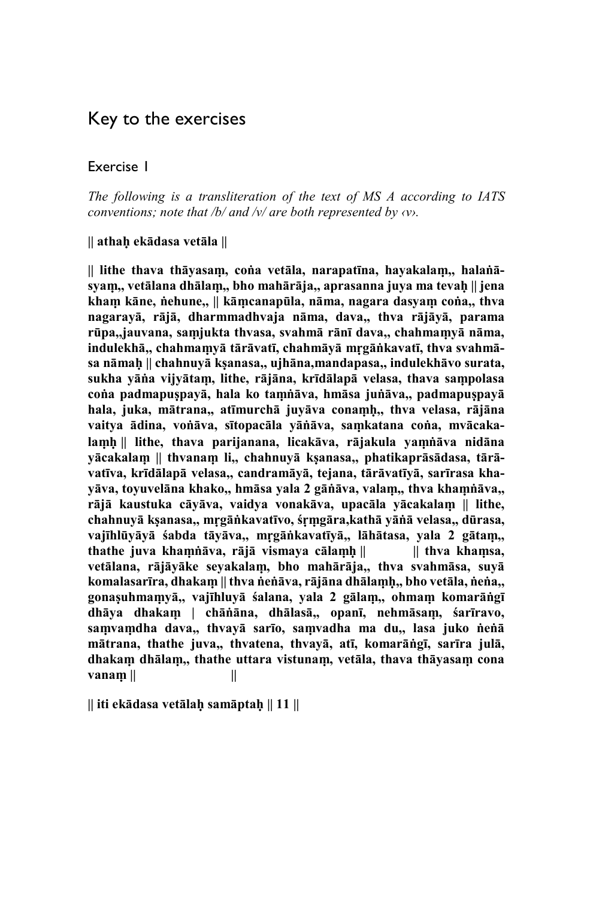# Key to the exercises

#### Exercise 1

*The following is a transliteration of the text of MS A according to IATS conventions; note that /b/ and /v/ are both represented by ‹v›.*

**|| athaḥ ekādasa vetāla ||** 

**|| lithe thava thāyasaṃ, coṅa vetāla, narapatīna, hayakalaṃ,, halaṅāsyaṃ,, vetālana dhālaṃ,, bho mahārāja,, aprasanna juya ma tevaḥ || jena khaṃ kāne, ṅehune,, || kāṃcanapūla, nāma, nagara dasyaṃ coṅa,, thva nagarayā, rājā, dharmmadhvaja nāma, dava,, thva rājāyā, parama rūpa,,jauvana, saṃjukta thvasa, svahmā rānī dava,, chahmaṃyā nāma, indulekhā,, chahmaṃyā tārāvatī, chahmāyā mṛgāṅkavatī, thva svahmāsa nāmaḥ || chahnuyā kṣanasa,, ujhāna,mandapasa,, indulekhāvo surata, sukha yāṅa vijyātaṃ, lithe, rājāna, krīdālapā velasa, thava saṃpolasa coṅa padmapuṣpayā, hala ko taṃṅāva, hmāsa juṅāva,, padmapuṣpayā hala, juka, mātrana,, atīmurchā juyāva conaṃḥ,, thva velasa, rājāna vaitya ādina, voṅāva, sītopacāla yāṅāva, saṃkatana coṅa, mvācakalaṃḥ || lithe, thava parijanana, licakāva, rājakula yaṃṅāva nidāna yācakalaṃ || thvanaṃ li,, chahnuyā kṣanasa,, phatikaprāsādasa, tārāvatīva, krīdālapā velasa,, candramāyā, tejana, tārāvatīyā, sarīrasa khayāva, toyuvelāna khako,, hmāsa yala 2 gāṅāva, valaṃ,, thva khaṃṅāva,, rājā kaustuka cāyāva, vaidya vonakāva, upacāla yācakalaṃ || lithe, chahnuyā kṣanasa,, mṛgāṅkavatīvo, śṛṃgāra,kathā yāṅā velasa,, dūrasa, vajīhlūyāyā śabda tāyāva,, mṛgāṅkavatīyā,, lāhātasa, yala 2 gātaṃ,, thathe juva khaṃṅāva, rājā vismaya cālaṃḥ || || thva khaṃsa, vetālana, rājāyāke seyakalaṃ, bho mahārāja,, thva svahmāsa, suyā komalasarīra, dhakaṃ || thva ṅeṅāva, rājāna dhālaṃḥ,, bho vetāla, ṅeṅa,, gonaṣuhmaṃyā,, vajīhluyā śalana, yala 2 gālaṃ,, ohmaṃ komarāṅgī dhāya dhakaṃ | chāṅāna, dhālasā,, opanī, nehmāsaṃ, śarīravo, saṃvaṃdha dava,, thvayā sarīo, saṃvadha ma du,, lasa juko ṅeṅā mātrana, thathe juva,, thvatena, thvayā, atī, komarāṅgī, sarīra julā, dhakaṃ dhālaṃ,, thathe uttara vistunaṃ, vetāla, thava thāyasaṃ cona vanaṃ || ||** 

**|| iti ekādasa vetālaḥ samāptaḥ || 11 ||**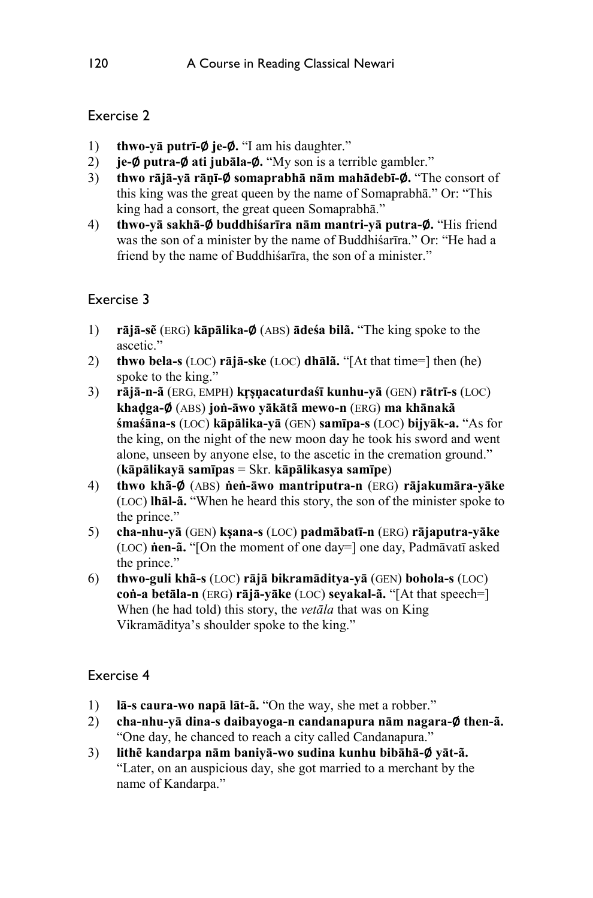- 1) **thwo-yā putrī-**∅ **je-**∅**.** "I am his daughter."
- 2) **je-**∅ **putra-**∅ **ati jubāla-**∅**.** "My son is a terrible gambler."
- 3) **thwo rājā-yā rāṇī-**∅ **somaprabhā nām mahādebī-**∅**.** "The consort of this king was the great queen by the name of Somaprabhā." Or: "This king had a consort, the great queen Somaprabhā."
- 4) **thwo-yā sakhā-**∅ **buddhiśarīra nām mantri-yā putra-**∅**.** "His friend was the son of a minister by the name of Buddhiśarīra." Or: "He had a friend by the name of Buddhiśarīra, the son of a minister."

# Exercise 3

- 1) **rājā-sẽ** (ERG) **kāpālika-**∅ (ABS) **ādeśa bilã.** "The king spoke to the ascetic."
- 2) **thwo bela-s** (LOC) **rājā-ske** (LOC) **dhālã.** "[At that time=] then (he) spoke to the king."
- 3) **rājā-n-ã** (ERG, EMPH) **kṛṣṇacaturdaśī kunhu-yā** (GEN) **rātrī-s** (LOC) **khaḍga-**∅ (ABS) **joṅ-āwo yākātã mewo-n** (ERG) **ma khānakã śmaśāna-s** (LOC) **kāpālika-yā** (GEN) **samīpa-s** (LOC) **bijyāk-a.** "As for the king, on the night of the new moon day he took his sword and went alone, unseen by anyone else, to the ascetic in the cremation ground." (**kāpālikayā samīpas** = Skr. **kāpālikasya samīpe**)
- 4) **thwo khã-**∅ (ABS) **ṅeṅ-āwo mantriputra-n** (ERG) **rājakumāra-yāke**  (LOC) **lhāl-ã.** "When he heard this story, the son of the minister spoke to the prince."
- 5) **cha-nhu-yā** (GEN) **kṣana-s** (LOC) **padmābatī-n** (ERG) **rājaputra-yāke**  (LOC) **ṅen-ã.** "[On the moment of one day=] one day, Padmāvatī asked the prince."
- 6) **thwo-guli khã-s** (LOC) **rājā bikramāditya-yā** (GEN) **bohola-s** (LOC) **coṅ-a betāla-n** (ERG) **rājā-yāke** (LOC) **seyakal-ã.** "[At that speech=] When (he had told) this story, the *vetāla* that was on King Vikramāditya's shoulder spoke to the king."

- 1) **lā-s caura-wo napā lāt-ã.** "On the way, she met a robber."
- 2) **cha-nhu-yā dina-s daibayoga-n candanapura nām nagara-**∅ **then-ã.** "One day, he chanced to reach a city called Candanapura."
- 3) **lithẽ kandarpa nām baniyā-wo sudina kunhu bibāhā-**∅ **yāt-ã.** "Later, on an auspicious day, she got married to a merchant by the name of Kandarpa."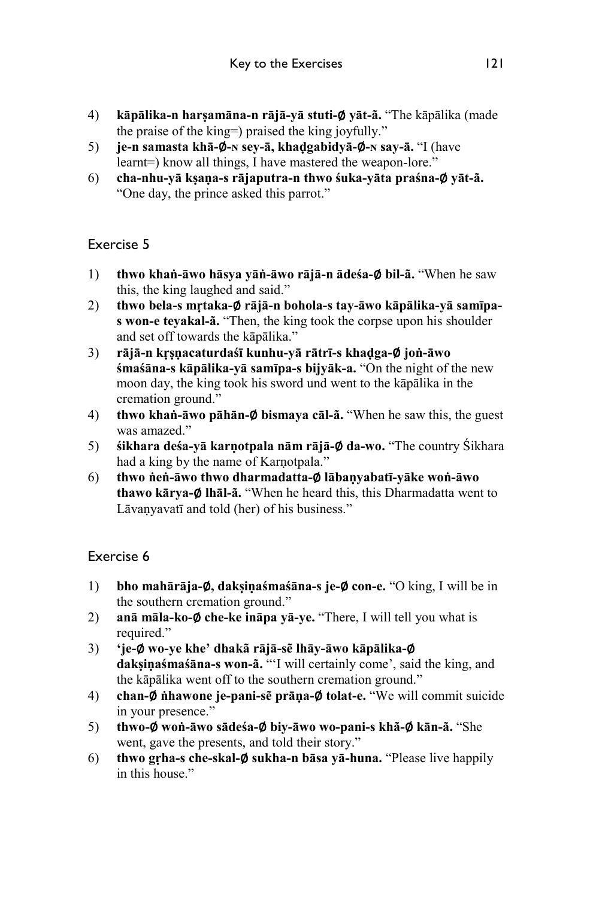- 4) **kāpālika-n harṣamāna-n rājā-yā stuti-**∅ **yāt-ã.** "The kāpālika (made the praise of the king=) praised the king joyfully."
- 5) **je-n samasta khā-**∅**-ɴ sey-ā, khaḍgabidyā-**∅**-ɴ say-ā.** "I (have learnt=) know all things, I have mastered the weapon-lore."
- 6) **cha-nhu-yā kṣaṇa-s rājaputra-n thwo śuka-yāta praśna-**∅ **yāt-ã.** "One day, the prince asked this parrot."

- 1) **thwo khaṅ-āwo hāsya yāṅ-āwo rājā-n ādeśa-**∅ **bil-ã.** "When he saw this, the king laughed and said."
- 2) **thwo bela-s mṛtaka-**∅ **rājā-n bohola-s tay-āwo kāpālika-yā samīpas won-e teyakal-ã.** "Then, the king took the corpse upon his shoulder and set off towards the kāpālika."
- 3) **rājā-n kṛṣṇacaturdaśī kunhu-yā rātrī-s khaḍga-**∅ **joṅ-āwo śmaśāna-s kāpālika-yā samīpa-s bijyāk-a.** "On the night of the new moon day, the king took his sword und went to the kāpālika in the cremation ground."
- 4) **thwo khaṅ-āwo pāhān-**∅ **bismaya cāl-ã.** "When he saw this, the guest was amazed."
- 5) **śikhara deśa-yā karṇotpala nām rājā-**∅ **da-wo.** "The country Śikhara had a king by the name of Karṇotpala."
- 6) **thwo ṅeṅ-āwo thwo dharmadatta-**∅ **lābaṇyabatī-yāke woṅ-āwo thawo kārya-**∅ **lhāl-ã.** "When he heard this, this Dharmadatta went to Lāvanyavatī and told (her) of his business."

- 1) **bho mahārāja-**∅**, dakṣiṇaśmaśāna-s je-**∅ **con-e.** "O king, I will be in the southern cremation ground."
- 2) **anā māla-ko-**∅ **che-ke ināpa yā-ye.** "There, I will tell you what is required."
- 3) **'je-**∅ **wo-ye khe' dhakã rājā-sẽ lhāy-āwo kāpālika-**∅ **dakṣiṇaśmaśāna-s won-ã.** "'I will certainly come', said the king, and the kāpālika went off to the southern cremation ground."
- 4) **chan-**∅ **ṅhawone je-pani-sẽ prāṇa-**∅ **tolat-e.** "We will commit suicide in your presence."
- 5) **thwo-**∅ **woṅ-āwo sādeśa-**∅ **biy-āwo wo-pani-s khã-**∅ **kān-ã.** "She went, gave the presents, and told their story."
- 6) **thwo gṛha-s che-skal-**∅ **sukha-n bāsa yā-huna.** "Please live happily in this house."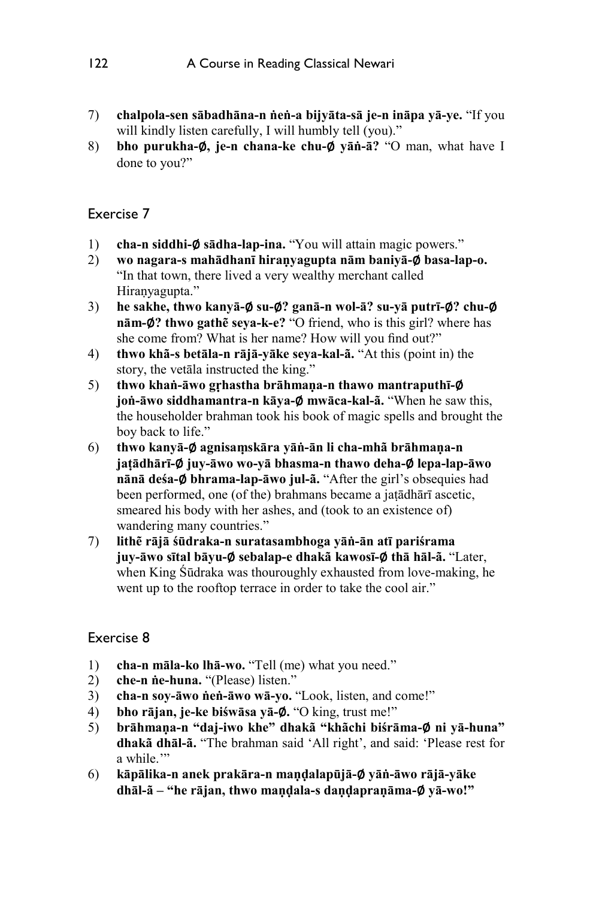- 7) **chalpola-sen sābadhāna-n ṅeṅ-a bijyāta-sā je-n ināpa yā-ye.** "If you will kindly listen carefully, I will humbly tell (you)."
- 8) **bho purukha-**∅**, je-n chana-ke chu-**∅ **yāṅ-ā?** "O man, what have I done to you?"

- 1) **cha-n siddhi-**∅ **sādha-lap-ina.** "You will attain magic powers."
- 2) **wo nagara-s mahādhanī hiraṇyagupta nām baniyā-**∅ **basa-lap-o.** "In that town, there lived a very wealthy merchant called Hiraṇyagupta."
- 3) **he sakhe, thwo kanyā-**∅ **su-**∅**? ganā-n wol-ā? su-yā putrī-**∅**? chu-**∅ **nām-**∅**? thwo gathẽ seya-k-e?** "O friend, who is this girl? where has she come from? What is her name? How will you find out?"
- 4) **thwo khã-s betāla-n rājā-yāke seya-kal-ã.** "At this (point in) the story, the vetāla instructed the king."
- 5) **thwo khaṅ-āwo gṛhastha brāhmaṇa-n thawo mantraputhī-**∅ **joṅ-āwo siddhamantra-n kāya-**∅ **mwāca-kal-ã.** "When he saw this, the householder brahman took his book of magic spells and brought the boy back to life."
- 6) **thwo kanyā-**∅ **agnisaṃskāra yāṅ-ān li cha-mhã brāhmaṇa-n jaṭādhārī-**∅ **juy-āwo wo-yā bhasma-n thawo deha-**∅ **lepa-lap-āwo nānā deśa-**∅ **bhrama-lap-āwo jul-ã.** "After the girl's obsequies had been performed, one (of the) brahmans became a jaṭādhārī ascetic, smeared his body with her ashes, and (took to an existence of) wandering many countries."
- 7) **lithẽ rājā śūdraka-n suratasambhoga yāṅ-ān atī pariśrama juy-āwo sītal bāyu-**∅ **sebalap-e dhakã kawosī-**∅ **thā hāl-ã.** "Later, when King Śūdraka was thouroughly exhausted from love-making, he went up to the rooftop terrace in order to take the cool air."

- 1) **cha-n māla-ko lhā-wo.** "Tell (me) what you need."
- 2) **che-n ṅe-huna.** "(Please) listen."
- 3) **cha-n soy-āwo ṅeṅ-āwo wā-yo.** "Look, listen, and come!"
- 4) **bho rājan, je-ke biśwāsa yā-**∅**.** "O king, trust me!"
- 5) **brāhmaṇa-n "daj-iwo khe" dhakã "khãchi biśrāma-**∅ **ni yā-huna" dhakã dhāl-ã.** "The brahman said 'All right', and said: 'Please rest for a while."
- 6) **kāpālika-n anek prakāra-n maṇḍalapūjā-**∅ **yāṅ-āwo rājā-yāke dhāl-ã – "he rājan, thwo maṇḍala-s daṇḍapraṇāma-**∅ **yā-wo!"**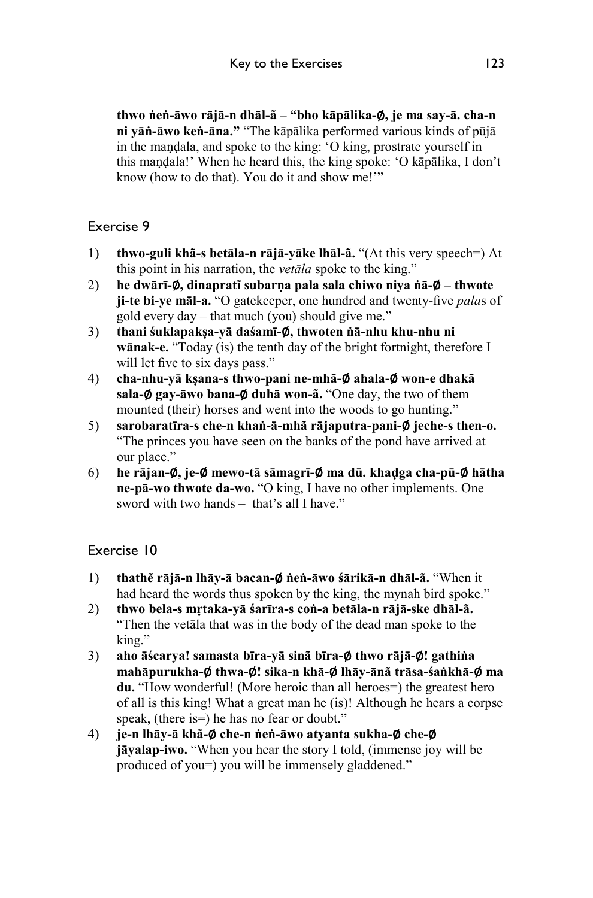**thwo ṅeṅ-āwo rājā-n dhāl-ã – "bho kāpālika-**∅**, je ma say-ā. cha-n ni yāṅ-āwo keṅ-āna."** "The kāpālika performed various kinds of pūjā in the maṇḍala, and spoke to the king: 'O king, prostrate yourself in this maṇḍala!' When he heard this, the king spoke: 'O kāpālika, I don't know (how to do that). You do it and show me!'"

## Exercise 9

- 1) **thwo-guli khã-s betāla-n rājā-yāke lhāl-ã.** "(At this very speech=) At this point in his narration, the *vetāla* spoke to the king."
- 2) **he dwārī-**∅**, dinapratĩ subarṇa pala sala chiwo niya ṅā-**∅ **thwote ji-te bi-ye māl-a.** "O gatekeeper, one hundred and twenty-five *pala*s of gold every day – that much (you) should give me."
- 3) **thani śuklapakṣa-yā daśamī-**∅**, thwoten ṅā-nhu khu-nhu ni wānak-e.** "Today (is) the tenth day of the bright fortnight, therefore I will let five to six days pass."
- 4) **cha-nhu-yā kṣana-s thwo-pani ne-mhã-**∅ **ahala-**∅ **won-e dhakã sala-**∅ **gay-āwo bana-**∅ **duhā won-ã.** "One day, the two of them mounted (their) horses and went into the woods to go hunting."
- 5) **sarobaratīra-s che-n khaṅ-ā-mhã rājaputra-pani-**∅ **jeche-s then-o.** "The princes you have seen on the banks of the pond have arrived at our place."
- 6) **he rājan-**∅**, je-**∅ **mewo-tā sāmagrī-**∅ **ma dū. khaḍga cha-pū-**∅ **hātha ne-pā-wo thwote da-wo.** "O king, I have no other implements. One sword with two hands – that's all I have."

- 1) **thathẽ rājā-n lhāy-ā bacan-**∅ **ṅeṅ-āwo śārikā-n dhāl-ã.** "When it had heard the words thus spoken by the king, the mynah bird spoke."
- 2) **thwo bela-s mṛtaka-yā śarīra-s coṅ-a betāla-n rājā-ske dhāl-ã.**  "Then the vetāla that was in the body of the dead man spoke to the king."
- 3) **aho āścarya! samasta bīra-yā sinã bīra-**∅ **thwo rājā-**∅**! gathiṅa mahāpurukha-**∅ **thwa-**∅**! sika-n khā-**∅ **lhāy-ānã trāsa-śaṅkhā-**∅ **ma du.** "How wonderful! (More heroic than all heroes=) the greatest hero of all is this king! What a great man he (is)! Although he hears a corpse speak, (there is=) he has no fear or doubt."
- 4) **je-n lhāy-ā khã-**∅ **che-n ṅeṅ-āwo atyanta sukha-**∅ **che-**∅ **jāyalap-iwo.** "When you hear the story I told, (immense joy will be produced of you=) you will be immensely gladdened."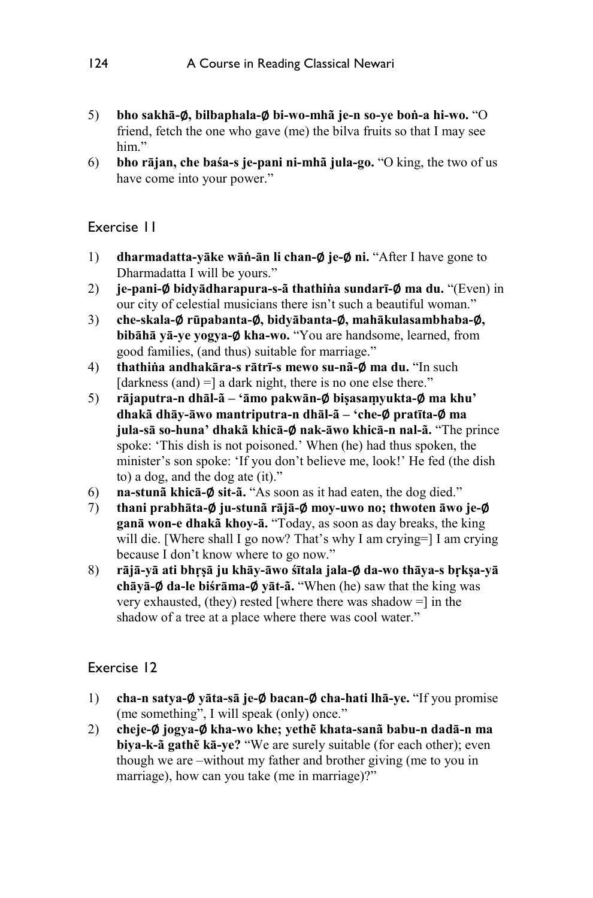- 5) **bho sakhā-**∅**, bilbaphala-**∅ **bi-wo-mhã je-n so-ye boṅ-a hi-wo.** "O friend, fetch the one who gave (me) the bilva fruits so that I may see him"
- 6) **bho rājan, che baśa-s je-pani ni-mhã jula-go.** "O king, the two of us have come into your power."

- 1) **dharmadatta-yāke wāṅ-ān li chan-**∅ **je-**∅ **ni.** "After I have gone to Dharmadatta I will be yours."
- 2) **je-pani-**∅ **bidyādharapura-s-ã thathiṅa sundarī-**∅ **ma du.** "(Even) in our city of celestial musicians there isn't such a beautiful woman."
- 3) **che-skala-**∅ **rūpabanta-**∅**, bidyābanta-**∅**, mahākulasambhaba-**∅**, bibāhā yā-ye yogya-**∅ **kha-wo.** "You are handsome, learned, from good families, (and thus) suitable for marriage."
- 4) **thathiṅa andhakāra-s rātrī-s mewo su-nã-**∅ **ma du.** "In such  $\lceil$  darkness (and) =  $\lceil$  a dark night, there is no one else there."
- 5) **rājaputra-n dhāl-ã 'āmo pakwān-**∅ **biṣasaṃyukta-**∅ **ma khu' dhakã dhāy-āwo mantriputra-n dhāl-ã – 'che-**∅ **pratīta-**∅ **ma jula-sā so-huna' dhakã khicā-**∅ **nak-āwo khicā-n nal-ã.** "The prince spoke: 'This dish is not poisoned.' When (he) had thus spoken, the minister's son spoke: 'If you don't believe me, look!' He fed (the dish to) a dog, and the dog ate (it)."
- 6) **na-stunã khicā-**∅ **sit-ã.** "As soon as it had eaten, the dog died."
- 7) **thani prabhāta-**∅ **ju-stunã rājā-**∅ **moy-uwo no; thwoten āwo je-**∅ **ganā won-e dhakã khoy-ā.** "Today, as soon as day breaks, the king will die. [Where shall I go now? That's why I am crying=] I am crying because I don't know where to go now."
- 8) **rājā-yā ati bhṛṣā ju khāy-āwo śītala jala-**∅ **da-wo thāya-s bṛkṣa-yā chāyā-**∅ **da-le biśrāma-**∅ **yāt-ã.** "When (he) saw that the king was very exhausted, (they) rested [where there was shadow =] in the shadow of a tree at a place where there was cool water."

- 1) **cha-n satya-**∅ **yāta-sā je-**∅ **bacan-**∅ **cha-hati lhā-ye.** "If you promise (me something", I will speak (only) once."
- 2) **cheje-**∅ **jogya-**∅ **kha-wo khe; yethẽ khata-sanã babu-n dadā-n ma biya-k-ã gathẽ kā-ye?** "We are surely suitable (for each other); even though we are –without my father and brother giving (me to you in marriage), how can you take (me in marriage)?"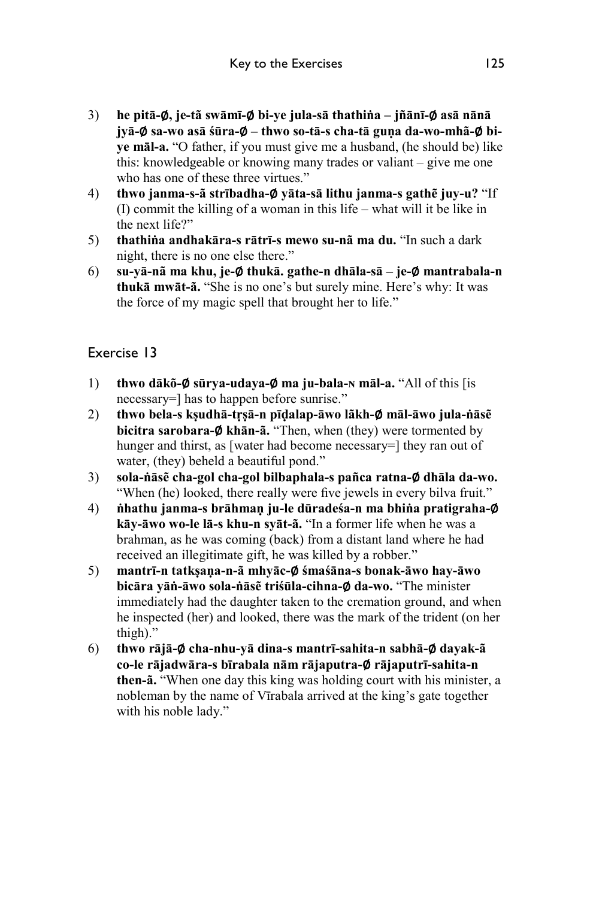- 3) **he pitā-**∅**, je-tã swāmī-**∅ **bi-ye jula-sā thathiṅa jñānī-**∅ **asā nānā jyā-**∅ **sa-wo asā śūra-**∅ **– thwo so-tā-s cha-tā guṇa da-wo-mhã-**∅ **biye māl-a.** "O father, if you must give me a husband, (he should be) like this: knowledgeable or knowing many trades or valiant – give me one who has one of these three virtues."
- 4) **thwo janma-s-ã strībadha-**∅ **yāta-sā lithu janma-s gathẽ juy-u?** "If (I) commit the killing of a woman in this life – what will it be like in the next life?"
- 5) **thathiṅa andhakāra-s rātrī-s mewo su-nã ma du.** "In such a dark night, there is no one else there."
- 6) **su-yā-nã ma khu, je-**∅ **thukā. gathe-n dhāla-sā je-**∅ **mantrabala-n thukā mwāt-ã.** "She is no one's but surely mine. Here's why: It was the force of my magic spell that brought her to life."

- 1) **thwo dākõ-**∅ **sūrya-udaya-**∅ **ma ju-bala-ɴ māl-a.** "All of this [is necessary=] has to happen before sunrise."
- 2) **thwo bela-s kṣudhā-tṛṣā-n pīḍalap-āwo lãkh-**∅ **māl-āwo jula-ṅāsẽ bicitra sarobara-**∅ **khān-ã.** "Then, when (they) were tormented by hunger and thirst, as [water had become necessary=] they ran out of water, (they) beheld a beautiful pond."
- 3) **sola-ṅāsẽ cha-gol cha-gol bilbaphala-s pañca ratna-**∅ **dhāla da-wo.** "When (he) looked, there really were five jewels in every bilva fruit."
- 4) **ṅhathu janma-s brāhmaṇ ju-le dūradeśa-n ma bhiṅa pratigraha-**∅ **kāy-āwo wo-le lā-s khu-n syāt-ã.** "In a former life when he was a brahman, as he was coming (back) from a distant land where he had received an illegitimate gift, he was killed by a robber."
- 5) **mantrī-n tatkṣaṇa-n-ã mhyāc-**∅ **śmaśāna-s bonak-āwo hay-āwo bicāra yāṅ-āwo sola-ṅāsẽ triśūla-cihna-**∅ **da-wo.** "The minister immediately had the daughter taken to the cremation ground, and when he inspected (her) and looked, there was the mark of the trident (on her thigh)."
- 6) **thwo rājā-**∅ **cha-nhu-yā dina-s mantrī-sahita-n sabhā-**∅ **dayak-ã co-le rājadwāra-s bīrabala nām rājaputra-**∅ **rājaputrī-sahita-n then-ã.** "When one day this king was holding court with his minister, a nobleman by the name of Vīrabala arrived at the king's gate together with his noble lady."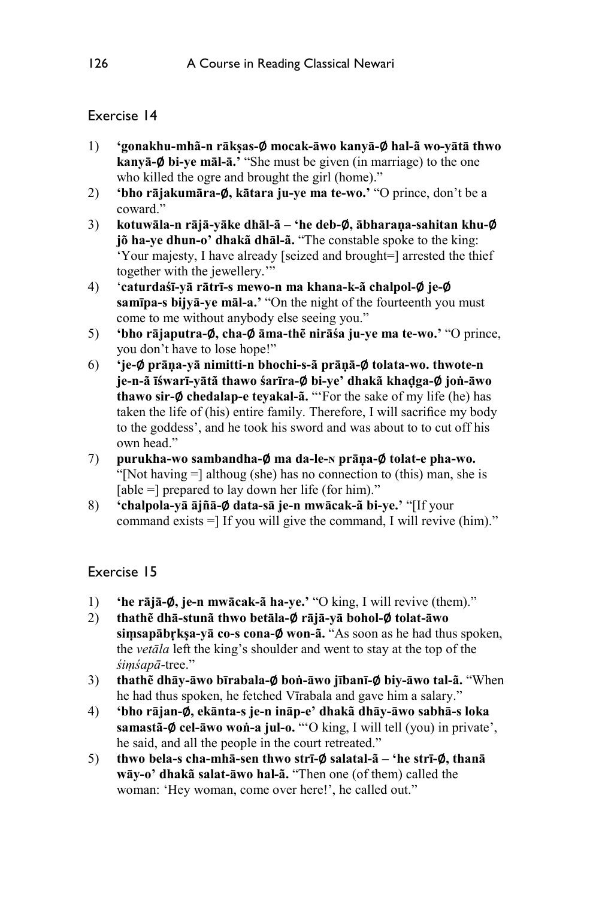- 1) **'gonakhu-mhã-n rākṣas-**∅ **mocak-āwo kanyā-**∅ **hal-ã wo-yātā thwo kanyā-**∅ **bi-ye māl-ā.'** "She must be given (in marriage) to the one who killed the ogre and brought the girl (home)."
- 2) **'bho rājakumāra-**∅**, kātara ju-ye ma te-wo.'** "O prince, don't be a coward."
- 3) **kotuwāla-n rājā-yāke dhāl-ã 'he deb-**∅**, ābharaṇa-sahitan khu-**∅ **jõ ha-ye dhun-o' dhakã dhāl-ã.** "The constable spoke to the king: 'Your majesty, I have already [seized and brought=] arrested the thief together with the jewellery.'"
- 4) '**caturdaśī-yā rātrī-s mewo-n ma khana-k-ã chalpol-**∅ **je-**∅ **samīpa-s bijyā-ye māl-a.'** "On the night of the fourteenth you must come to me without anybody else seeing you."
- 5) **'bho rājaputra-**∅**, cha-**∅ **āma-thẽ nirāśa ju-ye ma te-wo.'** "O prince, you don't have to lose hope!"
- 6) **'je-**∅ **prāṇa-yā nimitti-n bhochi-s-ã prāṇā-**∅ **tolata-wo. thwote-n je-n-ã īśwarī-yātã thawo śarīra-**∅ **bi-ye' dhakã khaḍga-**∅ **joṅ-āwo thawo sir-**∅ **chedalap-e teyakal-ã.** "'For the sake of my life (he) has taken the life of (his) entire family. Therefore, I will sacrifice my body to the goddess', and he took his sword and was about to to cut off his own head."
- 7) **purukha-wo sambandha-**∅ **ma da-le-ɴ prāṇa-**∅ **tolat-e pha-wo.**  "[Not having =] althoug (she) has no connection to (this) man, she is [able =] prepared to lay down her life (for him)."
- 8) **'chalpola-yā ājñā-**∅ **data-sā je-n mwācak-ã bi-ye.'** "[If your command exists =] If you will give the command, I will revive (him)."

- 1) **'he rājā-**∅**, je-n mwācak-ã ha-ye.'** "O king, I will revive (them)."
- 2) **thathẽ dhā-stunã thwo betāla-**∅ **rājā-yā bohol-**∅ **tolat-āwo siṃsapābṛkṣa-yā co-s cona-**∅ **won-ã.** "As soon as he had thus spoken, the *vetāla* left the king's shoulder and went to stay at the top of the *śiṃśapā*-tree."
- 3) **thathẽ dhāy-āwo bīrabala-**∅ **boṅ-āwo jībanī-**∅ **biy-āwo tal-ã.** "When he had thus spoken, he fetched Vīrabala and gave him a salary."
- 4) **'bho rājan-**∅**, ekānta-s je-n ināp-e' dhakã dhāy-āwo sabhā-s loka samastã-**∅ **cel-āwo woṅ-a jul-o.** "'O king, I will tell (you) in private', he said, and all the people in the court retreated."
- 5) **thwo bela-s cha-mhā-sen thwo strī-**∅ **salatal-ã 'he strī-**∅**, thanā wāy-o' dhakã salat-āwo hal-ã.** "Then one (of them) called the woman: 'Hey woman, come over here!', he called out."